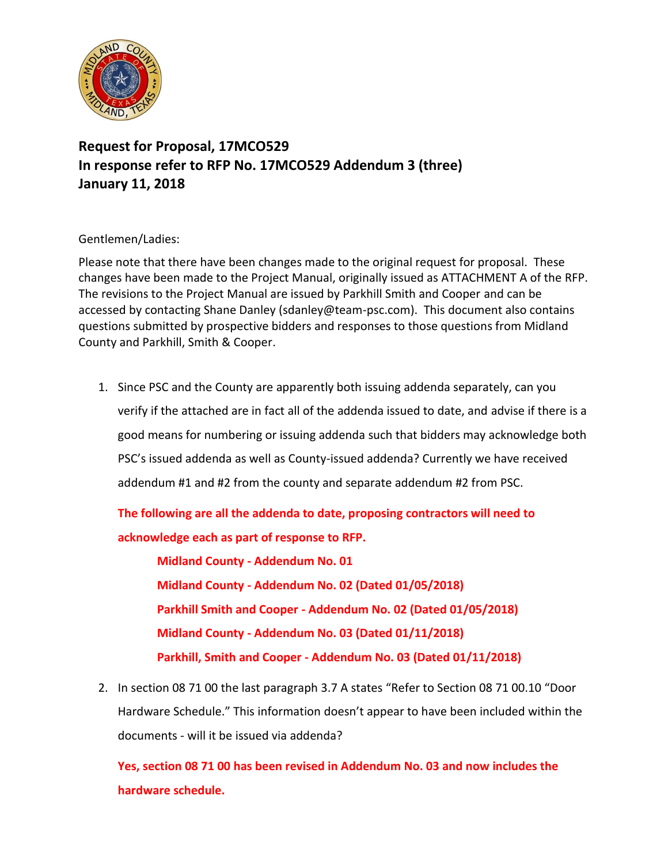

## **Request for Proposal, 17MCO529 In response refer to RFP No. 17MCO529 Addendum 3 (three) January 11, 2018**

## Gentlemen/Ladies:

Please note that there have been changes made to the original request for proposal. These changes have been made to the Project Manual, originally issued as ATTACHMENT A of the RFP. The revisions to the Project Manual are issued by Parkhill Smith and Cooper and can be accessed by contacting Shane Danley (sdanley@team-psc.com). This document also contains questions submitted by prospective bidders and responses to those questions from Midland County and Parkhill, Smith & Cooper.

1. Since PSC and the County are apparently both issuing addenda separately, can you verify if the attached are in fact all of the addenda issued to date, and advise if there is a good means for numbering or issuing addenda such that bidders may acknowledge both PSC's issued addenda as well as County-issued addenda? Currently we have received addendum #1 and #2 from the county and separate addendum #2 from PSC.

**The following are all the addenda to date, proposing contractors will need to acknowledge each as part of response to RFP.**

**Midland County - Addendum No. 01 Midland County - Addendum No. 02 (Dated 01/05/2018) Parkhill Smith and Cooper - Addendum No. 02 (Dated 01/05/2018) Midland County - Addendum No. 03 (Dated 01/11/2018) Parkhill, Smith and Cooper - Addendum No. 03 (Dated 01/11/2018)**

2. In section 08 71 00 the last paragraph 3.7 A states "Refer to Section 08 71 00.10 "Door Hardware Schedule." This information doesn't appear to have been included within the documents - will it be issued via addenda?

**Yes, section 08 71 00 has been revised in Addendum No. 03 and now includes the hardware schedule.**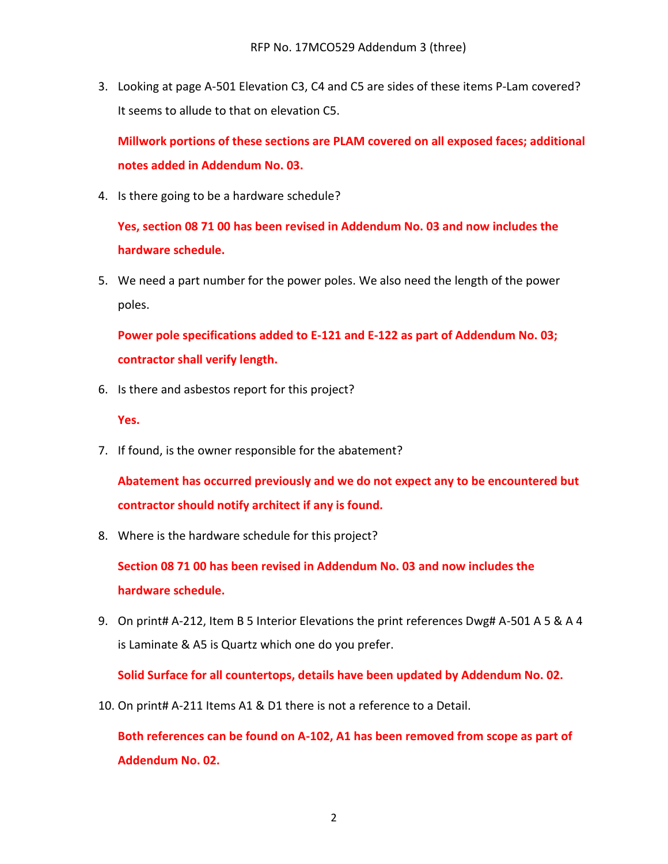3. Looking at page A-501 Elevation C3, C4 and C5 are sides of these items P-Lam covered? It seems to allude to that on elevation C5.

**Millwork portions of these sections are PLAM covered on all exposed faces; additional notes added in Addendum No. 03.**

4. Is there going to be a hardware schedule?

**Yes, section 08 71 00 has been revised in Addendum No. 03 and now includes the hardware schedule.**

5. We need a part number for the power poles. We also need the length of the power poles.

**Power pole specifications added to E-121 and E-122 as part of Addendum No. 03; contractor shall verify length.**

6. Is there and asbestos report for this project?

**Yes.**

7. If found, is the owner responsible for the abatement?

**Abatement has occurred previously and we do not expect any to be encountered but contractor should notify architect if any is found.**

8. Where is the hardware schedule for this project?

**Section 08 71 00 has been revised in Addendum No. 03 and now includes the hardware schedule.**

9. On print# A-212, Item B 5 Interior Elevations the print references Dwg# A-501 A 5 & A 4 is Laminate & A5 is Quartz which one do you prefer.

**Solid Surface for all countertops, details have been updated by Addendum No. 02.**

10. On print# A-211 Items A1 & D1 there is not a reference to a Detail.

**Both references can be found on A-102, A1 has been removed from scope as part of Addendum No. 02.**